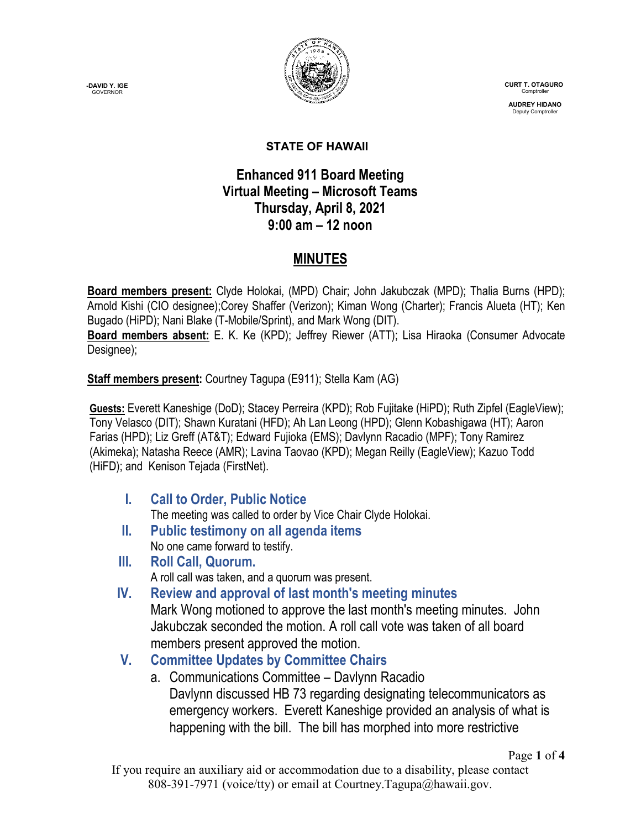**-DAVID Y. IGE GOVERNOR** 



 **CURT T. OTAGURO** Comptrol

 **AUDREY HIDANO** Deputy Comptroll

#### **STATE OF HAWAII**

### **Enhanced 911 Board Meeting Virtual Meeting – Microsoft Teams Thursday, April 8, 2021 9:00 am – 12 noon**

# **MINUTES**

**Board members present:** Clyde Holokai, (MPD) Chair; John Jakubczak (MPD); Thalia Burns (HPD); Arnold Kishi (CIO designee);Corey Shaffer (Verizon); Kiman Wong (Charter); Francis Alueta (HT); Ken Bugado (HiPD); Nani Blake (T-Mobile/Sprint), and Mark Wong (DIT). **Board members absent:** E. K. Ke (KPD); Jeffrey Riewer (ATT); Lisa Hiraoka (Consumer Advocate Designee);

**Staff members present:** Courtney Tagupa (E911); Stella Kam (AG)

**Guests:** Everett Kaneshige (DoD); Stacey Perreira (KPD); Rob Fujitake (HiPD); Ruth Zipfel (EagleView); Tony Velasco (DIT); Shawn Kuratani (HFD); Ah Lan Leong (HPD); Glenn Kobashigawa (HT); Aaron Farias (HPD); Liz Greff (AT&T); Edward Fujioka (EMS); Davlynn Racadio (MPF); Tony Ramirez (Akimeka); Natasha Reece (AMR); Lavina Taovao (KPD); Megan Reilly (EagleView); Kazuo Todd (HiFD); and Kenison Tejada (FirstNet).

- **I. Call to Order, Public Notice** The meeting was called to order by Vice Chair Clyde Holokai.
- **II. Public testimony on all agenda items** No one came forward to testify.
- **III. Roll Call, Quorum.**
	- A roll call was taken, and a quorum was present.
- **IV. Review and approval of last month's meeting minutes** Mark Wong motioned to approve the last month's meeting minutes. John Jakubczak seconded the motion. A roll call vote was taken of all board members present approved the motion.
- **V. Committee Updates by Committee Chairs**
	- a. Communications Committee Davlynn Racadio Davlynn discussed HB 73 regarding designating telecommunicators as emergency workers. Everett Kaneshige provided an analysis of what is happening with the bill. The bill has morphed into more restrictive

If you require an auxiliary aid or accommodation due to a disability, please contact 808-391-7971 (voice/tty) or email at Courtney.Tagupa@hawaii.gov.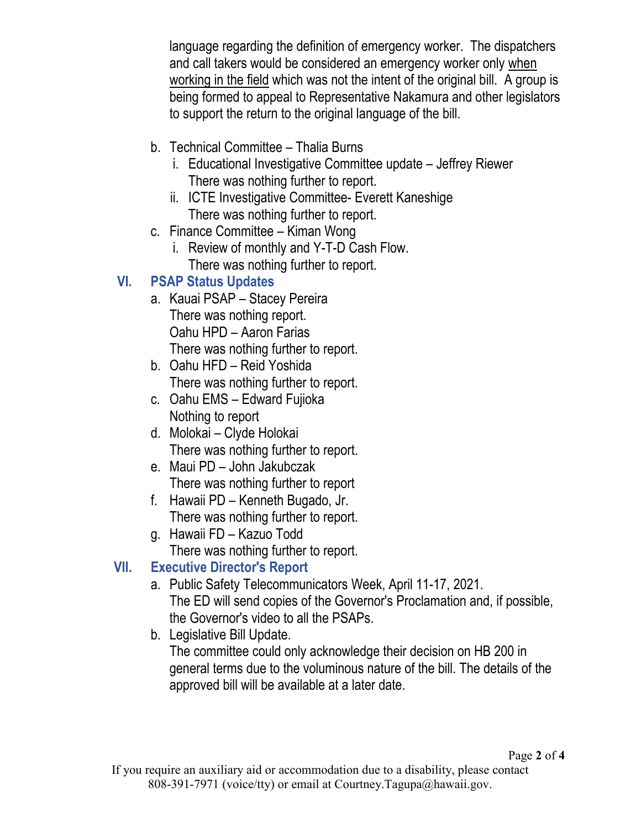language regarding the definition of emergency worker. The dispatchers and call takers would be considered an emergency worker only when working in the field which was not the intent of the original bill. A group is being formed to appeal to Representative Nakamura and other legislators to support the return to the original language of the bill.

- b. Technical Committee Thalia Burns
	- i. Educational Investigative Committee update Jeffrey Riewer There was nothing further to report.
	- ii. ICTE Investigative Committee- Everett Kaneshige There was nothing further to report.
- c. Finance Committee Kiman Wong
	- i. Review of monthly and Y-T-D Cash Flow. There was nothing further to report.

# **VI. PSAP Status Updates**

- a. Kauai PSAP Stacey Pereira There was nothing report. Oahu HPD – Aaron Farias There was nothing further to report.
- b. Oahu HFD Reid Yoshida There was nothing further to report.
- c. Oahu EMS Edward Fujioka Nothing to report
- d. Molokai Clyde Holokai There was nothing further to report.
- e. Maui PD John Jakubczak There was nothing further to report
- f. Hawaii PD Kenneth Bugado, Jr. There was nothing further to report.
- g. Hawaii FD Kazuo Todd There was nothing further to report.

# **VII. Executive Director's Report**

- a. Public Safety Telecommunicators Week, April 11-17, 2021. The ED will send copies of the Governor's Proclamation and, if possible, the Governor's video to all the PSAPs.
- b. Legislative Bill Update. The committee could only acknowledge their decision on HB 200 in general terms due to the voluminous nature of the bill. The details of the approved bill will be available at a later date.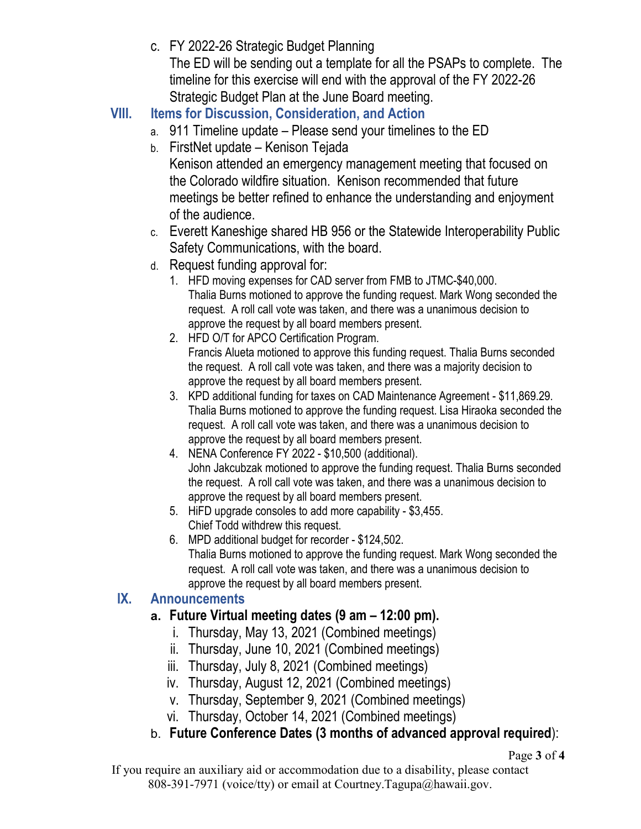c. FY 2022-26 Strategic Budget Planning

The ED will be sending out a template for all the PSAPs to complete. The timeline for this exercise will end with the approval of the FY 2022-26 Strategic Budget Plan at the June Board meeting.

- **VIII. Items for Discussion, Consideration, and Action**
	- a. 911 Timeline update Please send your timelines to the ED
	- b. FirstNet update Kenison Tejada Kenison attended an emergency management meeting that focused on the Colorado wildfire situation. Kenison recommended that future meetings be better refined to enhance the understanding and enjoyment of the audience.
	- c. Everett Kaneshige shared HB 956 or the Statewide Interoperability Public Safety Communications, with the board.
	- d. Request funding approval for:
		- 1. HFD moving expenses for CAD server from FMB to JTMC-\$40,000. Thalia Burns motioned to approve the funding request. Mark Wong seconded the request. A roll call vote was taken, and there was a unanimous decision to approve the request by all board members present.
		- 2. HFD O/T for APCO Certification Program. Francis Alueta motioned to approve this funding request. Thalia Burns seconded the request. A roll call vote was taken, and there was a majority decision to approve the request by all board members present.
		- 3. KPD additional funding for taxes on CAD Maintenance Agreement \$11,869.29. Thalia Burns motioned to approve the funding request. Lisa Hiraoka seconded the request. A roll call vote was taken, and there was a unanimous decision to approve the request by all board members present.
		- 4. NENA Conference FY 2022 \$10,500 (additional). John Jakcubzak motioned to approve the funding request. Thalia Burns seconded the request. A roll call vote was taken, and there was a unanimous decision to approve the request by all board members present.
		- 5. HiFD upgrade consoles to add more capability \$3,455. Chief Todd withdrew this request.
		- 6. MPD additional budget for recorder \$124,502. Thalia Burns motioned to approve the funding request. Mark Wong seconded the request. A roll call vote was taken, and there was a unanimous decision to approve the request by all board members present.

### **IX. Announcements**

## **a. Future Virtual meeting dates (9 am – 12:00 pm).**

- i. Thursday, May 13, 2021 (Combined meetings)
- ii. Thursday, June 10, 2021 (Combined meetings)
- iii. Thursday, July 8, 2021 (Combined meetings)
- iv. Thursday, August 12, 2021 (Combined meetings)
- v. Thursday, September 9, 2021 (Combined meetings)
- vi. Thursday, October 14, 2021 (Combined meetings)
- b. **Future Conference Dates (3 months of advanced approval required**):

Page **3** of **4**